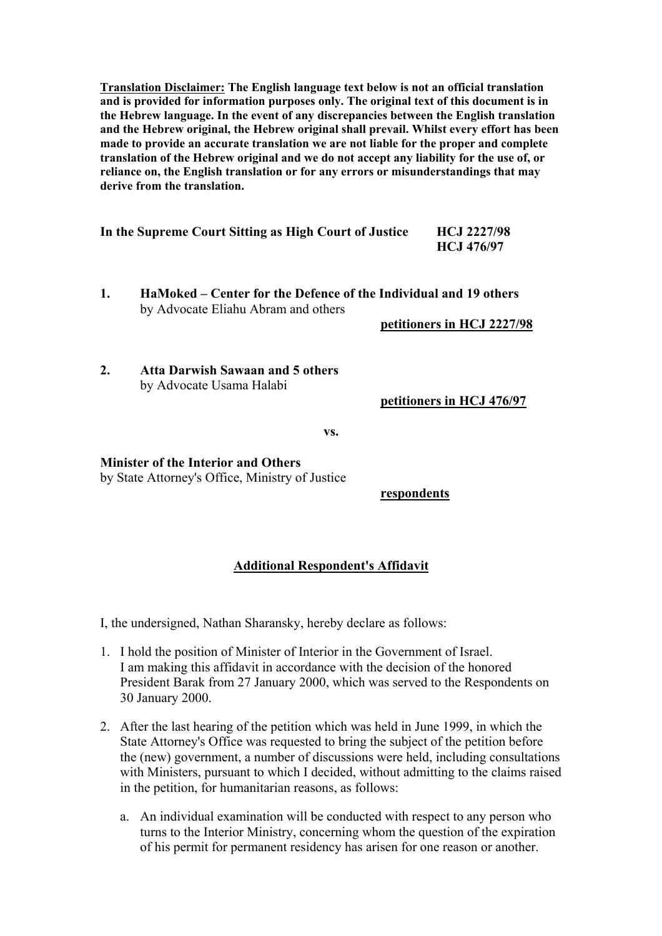**Translation Disclaimer: The English language text below is not an official translation and is provided for information purposes only. The original text of this document is in the Hebrew language. In the event of any discrepancies between the English translation and the Hebrew original, the Hebrew original shall prevail. Whilst every effort has been made to provide an accurate translation we are not liable for the proper and complete translation of the Hebrew original and we do not accept any liability for the use of, or reliance on, the English translation or for any errors or misunderstandings that may derive from the translation.** 

| In the Supreme Court Sitting as High Court of Justice | <b>HCJ 2227/98</b> |
|-------------------------------------------------------|--------------------|
|                                                       | <b>HCJ 476/97</b>  |

**1. HaMoked – Center for the Defence of the Individual and 19 others**  by Advocate Eliahu Abram and others

**petitioners in HCJ 2227/98**

**2. Atta Darwish Sawaan and 5 others**  by Advocate Usama Halabi

**petitioners in HCJ 476/97**

**vs.** 

## **Minister of the Interior and Others**

by State Attorney's Office, Ministry of Justice

**respondents**

## **Additional Respondent's Affidavit**

I, the undersigned, Nathan Sharansky, hereby declare as follows:

- 1. I hold the position of Minister of Interior in the Government of Israel. I am making this affidavit in accordance with the decision of the honored President Barak from 27 January 2000, which was served to the Respondents on 30 January 2000.
- 2. After the last hearing of the petition which was held in June 1999, in which the State Attorney's Office was requested to bring the subject of the petition before the (new) government, a number of discussions were held, including consultations with Ministers, pursuant to which I decided, without admitting to the claims raised in the petition, for humanitarian reasons, as follows:
	- a. An individual examination will be conducted with respect to any person who turns to the Interior Ministry, concerning whom the question of the expiration of his permit for permanent residency has arisen for one reason or another.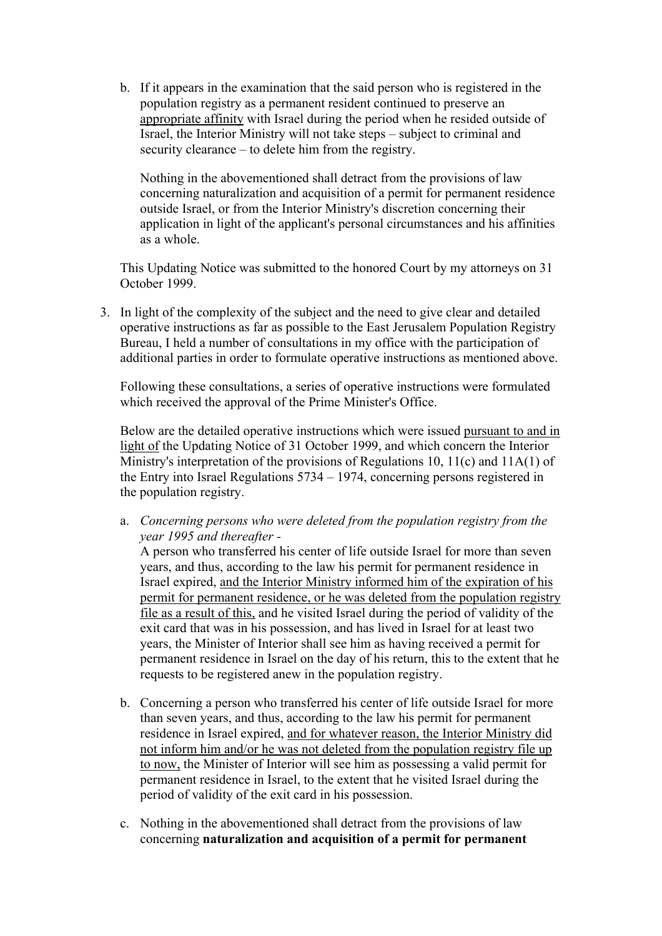b. If it appears in the examination that the said person who is registered in the population registry as a permanent resident continued to preserve an appropriate affinity with Israel during the period when he resided outside of Israel, the Interior Ministry will not take steps – subject to criminal and security clearance – to delete him from the registry.

Nothing in the abovementioned shall detract from the provisions of law concerning naturalization and acquisition of a permit for permanent residence outside Israel, or from the Interior Ministry's discretion concerning their application in light of the applicant's personal circumstances and his affinities as a whole.

This Updating Notice was submitted to the honored Court by my attorneys on 31 October 1999.

3. In light of the complexity of the subject and the need to give clear and detailed operative instructions as far as possible to the East Jerusalem Population Registry Bureau, I held a number of consultations in my office with the participation of additional parties in order to formulate operative instructions as mentioned above.

Following these consultations, a series of operative instructions were formulated which received the approval of the Prime Minister's Office.

Below are the detailed operative instructions which were issued pursuant to and in light of the Updating Notice of 31 October 1999, and which concern the Interior Ministry's interpretation of the provisions of Regulations 10, 11(c) and 11A(1) of the Entry into Israel Regulations 5734 – 1974, concerning persons registered in the population registry.

a. *Concerning persons who were deleted from the population registry from the year 1995 and thereafter -*

A person who transferred his center of life outside Israel for more than seven years, and thus, according to the law his permit for permanent residence in Israel expired, and the Interior Ministry informed him of the expiration of his permit for permanent residence, or he was deleted from the population registry file as a result of this, and he visited Israel during the period of validity of the exit card that was in his possession, and has lived in Israel for at least two years, the Minister of Interior shall see him as having received a permit for permanent residence in Israel on the day of his return, this to the extent that he requests to be registered anew in the population registry.

- b. Concerning a person who transferred his center of life outside Israel for more than seven years, and thus, according to the law his permit for permanent residence in Israel expired, and for whatever reason, the Interior Ministry did not inform him and/or he was not deleted from the population registry file up to now, the Minister of Interior will see him as possessing a valid permit for permanent residence in Israel, to the extent that he visited Israel during the period of validity of the exit card in his possession.
- c. Nothing in the abovementioned shall detract from the provisions of law concerning **naturalization and acquisition of a permit for permanent**